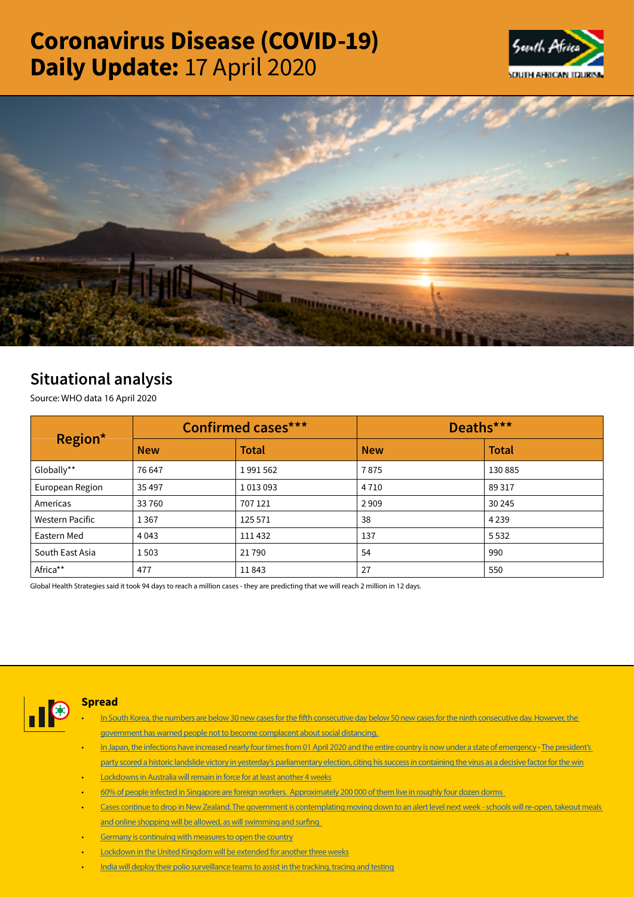# Coronavirus Disease (COVID-19) Daily Update: 17 April 2020





## Situational analysis

Source: WHO data 16 April 2020

| Region*                | <b>Confirmed cases***</b> |              | Deaths***  |              |  |
|------------------------|---------------------------|--------------|------------|--------------|--|
|                        | <b>New</b>                | <b>Total</b> | <b>New</b> | <b>Total</b> |  |
| Globally**             | 76 647                    | 1991562      | 7875       | 130 885      |  |
| European Region        | 35 4 97                   | 1013093      | 4710       | 89 317       |  |
| Americas               | 33760                     | 707 121      | 2909       | 30 245       |  |
| <b>Western Pacific</b> | 1 3 6 7                   | 125 571      | 38         | 4 2 3 9      |  |
| Eastern Med            | 4 0 4 3                   | 111432       | 137        | 5532         |  |
| South East Asia        | 1503                      | 21790        | 54         | 990          |  |
| Africa**               | 477                       | 11843        | 27         | 550          |  |

Global Health Strategies said it took 94 days to reach a million cases - they are predicting that we will reach 2 million in 12 days.



### Spread

- In South Korea, the numbers are below 30 new cases for the fifth consecutive day below 50 new cases for the ninth consecutive day. However, the [government has warned people not to become complacent about social distancing.](https://t.co/siz9TNwTws?amp=1)
- [In Japan, the infections have increased nearly four times from 01 April 2020 and the entire country is now under a state of emergency](https://t.co/E3RCnNlR2x?amp=1)  The president's [party scored a historic landslide victory in yesterday's parliamentary election, citing his success in containing the virus as a decisive factor for the win](https://t.co/7NpdHzejCF?amp=1)
- [Lockdowns in Australia will remain in force for at least another 4 weeks](https://t.co/JoePlsXtYM?amp=1)
- [60% of people infected in Singapore are foreign workers. Approximately 200 000 of them live in roughly four dozen dorms](https://t.co/7s6W8bs1YG?amp=1)
- [Cases continue to drop in New Zealand. The government is contemplating moving down to an alert level next week schools will re-open, takeout meals](https://t.co/u7Z70LDeDC?amp=1)  [and online shopping will be allowed, as will swimming and surfing](https://t.co/u7Z70LDeDC?amp=1)
- [Germany is continuing with measures to open the country](https://t.co/TwDuswOCgn?amp=1)
- [Lockdown in the United Kingdom will be extended for another three weeks](https://t.co/vgFYV6ubPk?amp=1)
- [India will deploy their polio surveillance teams to assist in the tracking, tracing and testing](https://is.gd/6pKolN)